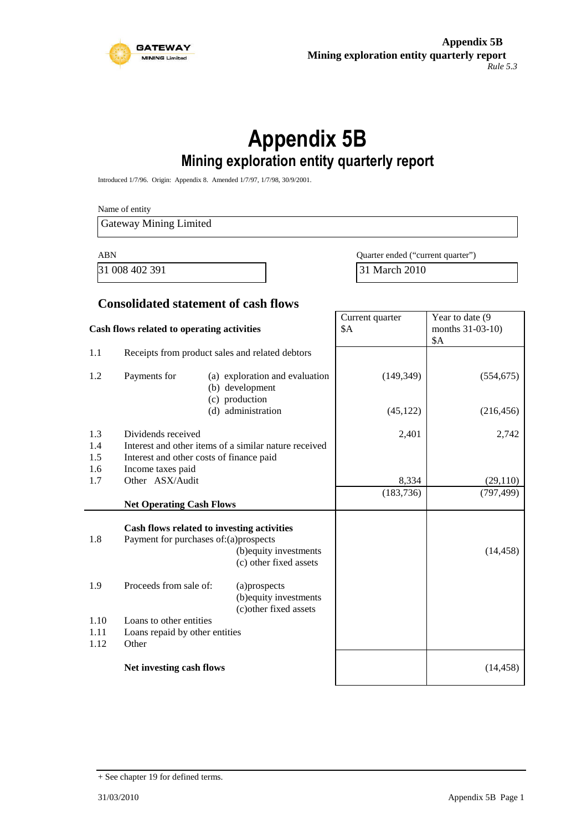

# **Appendix 5B Mining exploration entity quarterly report**

Introduced 1/7/96. Origin: Appendix 8. Amended 1/7/97, 1/7/98, 30/9/2001.

Name of entity Gateway Mining Limited ABN Quarter ended ("current quarter") 31 008 402 391 31 March 2010

#### **Consolidated statement of cash flows**

| Cash flows related to operating activities |                                                               | Current quarter<br>\$A                                                                         | Year to date (9<br>months 31-03-10)<br><b>\$A</b> |            |
|--------------------------------------------|---------------------------------------------------------------|------------------------------------------------------------------------------------------------|---------------------------------------------------|------------|
| 1.1                                        |                                                               | Receipts from product sales and related debtors                                                |                                                   |            |
| 1.2                                        | Payments for                                                  | (a) exploration and evaluation<br>(b) development<br>(c) production                            | (149, 349)                                        | (554, 675) |
|                                            |                                                               | (d) administration                                                                             | (45, 122)                                         | (216, 456) |
| 1.3                                        | Dividends received                                            |                                                                                                | 2,401                                             | 2,742      |
| 1.4                                        |                                                               | Interest and other items of a similar nature received                                          |                                                   |            |
| 1.5<br>1.6                                 | Interest and other costs of finance paid<br>Income taxes paid |                                                                                                |                                                   |            |
| 1.7                                        | Other ASX/Audit                                               |                                                                                                | 8,334                                             | (29,110)   |
|                                            |                                                               |                                                                                                | (183, 736)                                        | (797, 499) |
|                                            | <b>Net Operating Cash Flows</b>                               |                                                                                                |                                                   |            |
| 1.8                                        | Payment for purchases of: (a) prospects                       | Cash flows related to investing activities<br>(b) equity investments<br>(c) other fixed assets |                                                   | (14, 458)  |
| 1.9                                        | Proceeds from sale of:                                        | (a)prospects<br>(b) equity investments<br>(c) other fixed assets                               |                                                   |            |
| 1.10                                       | Loans to other entities                                       |                                                                                                |                                                   |            |
| 1.11                                       | Loans repaid by other entities                                |                                                                                                |                                                   |            |
| 1.12                                       | Other                                                         |                                                                                                |                                                   |            |
|                                            | Net investing cash flows                                      |                                                                                                |                                                   | (14, 458)  |

<sup>+</sup> See chapter 19 for defined terms.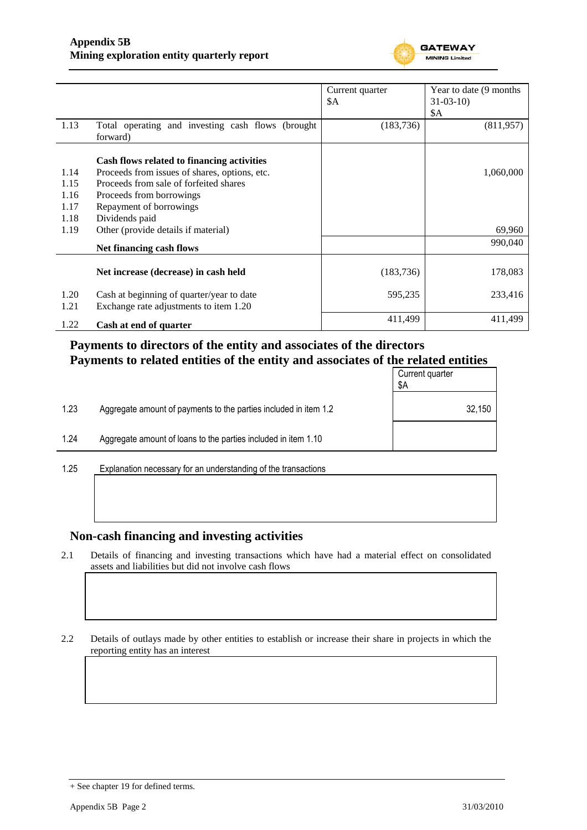

|      |                                                   | Current quarter | Year to date (9 months) |
|------|---------------------------------------------------|-----------------|-------------------------|
|      |                                                   | \$Α             | $31-03-10$              |
|      |                                                   |                 | \$A                     |
| 1.13 | Total operating and investing cash flows (brought | (183, 736)      | (811, 957)              |
|      | forward)                                          |                 |                         |
|      | Cash flows related to financing activities        |                 |                         |
| 1.14 | Proceeds from issues of shares, options, etc.     |                 | 1,060,000               |
| 1.15 | Proceeds from sale of forfeited shares            |                 |                         |
| 1.16 | Proceeds from borrowings                          |                 |                         |
| 1.17 | Repayment of borrowings                           |                 |                         |
| 1.18 | Dividends paid                                    |                 |                         |
| 1.19 | Other (provide details if material)               |                 | 69,960                  |
|      | Net financing cash flows                          |                 | 990,040                 |
|      |                                                   |                 |                         |
|      | Net increase (decrease) in cash held              | (183, 736)      | 178,083                 |
| 1.20 | Cash at beginning of quarter/year to date         | 595,235         | 233,416                 |
| 1.21 | Exchange rate adjustments to item 1.20            |                 |                         |
| 1.22 | Cash at end of quarter                            | 411,499         | 411,499                 |

## **Payments to directors of the entity and associates of the directors Payments to related entities of the entity and associates of the related entities**

|                      |                                                                  | Current quarter<br>\$Α |
|----------------------|------------------------------------------------------------------|------------------------|
| 1.23                 | Aggregate amount of payments to the parties included in item 1.2 | 32,150                 |
| 1.24                 | Aggregate amount of loans to the parties included in item 1.10   |                        |
| $\sim$ $\sim$ $\sim$ |                                                                  |                        |

1.25 Explanation necessary for an understanding of the transactions

### **Non-cash financing and investing activities**

2.1 Details of financing and investing transactions which have had a material effect on consolidated assets and liabilities but did not involve cash flows

2.2 Details of outlays made by other entities to establish or increase their share in projects in which the reporting entity has an interest

<sup>+</sup> See chapter 19 for defined terms.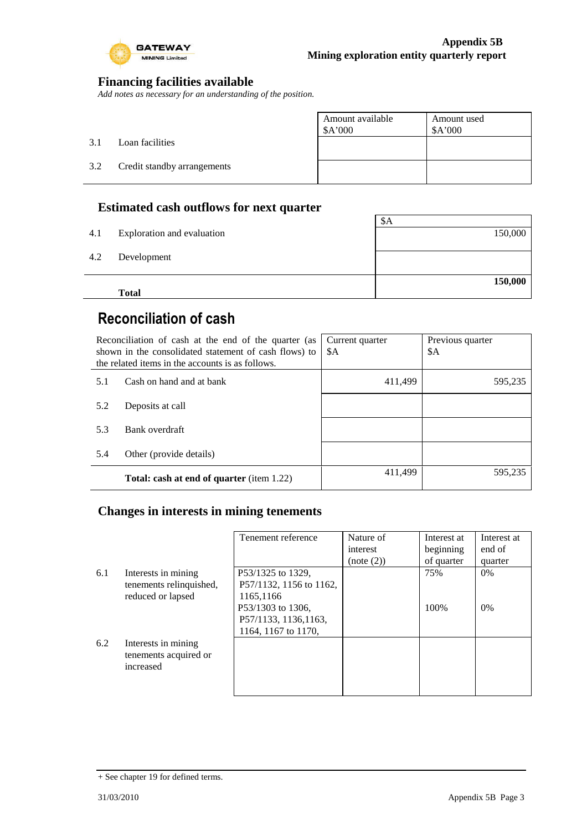

### **Financing facilities available**

*Add notes as necessary for an understanding of the position.*

|     |                             | Amount available<br>\$A'000 | Amount used<br>\$A'000 |
|-----|-----------------------------|-----------------------------|------------------------|
| 3.1 | Loan facilities             |                             |                        |
| 3.2 | Credit standby arrangements |                             |                        |
|     |                             |                             |                        |

### **Estimated cash outflows for next quarter**

|     | <b>Total</b>               |         |
|-----|----------------------------|---------|
|     |                            | 150,000 |
| 4.2 | Development                |         |
| 4.1 | Exploration and evaluation | 150,000 |
|     |                            | \$A     |

# **Reconciliation of cash**

| Reconciliation of cash at the end of the quarter (as<br>shown in the consolidated statement of cash flows) to<br>the related items in the accounts is as follows. |                                                  | Current quarter<br>\$A | Previous quarter<br>\$A |
|-------------------------------------------------------------------------------------------------------------------------------------------------------------------|--------------------------------------------------|------------------------|-------------------------|
| 5.1                                                                                                                                                               | Cash on hand and at bank                         | 411,499                | 595,235                 |
| 5.2                                                                                                                                                               | Deposits at call                                 |                        |                         |
| 5.3                                                                                                                                                               | Bank overdraft                                   |                        |                         |
| 5.4                                                                                                                                                               | Other (provide details)                          |                        |                         |
|                                                                                                                                                                   | <b>Total: cash at end of quarter</b> (item 1.22) | 411,499                | 595,235                 |

### **Changes in interests in mining tenements**

|     |                         | Tenement reference      | Nature of  | Interest at | Interest at |
|-----|-------------------------|-------------------------|------------|-------------|-------------|
|     |                         |                         | interest   | beginning   | end of      |
|     |                         |                         | (note (2)) | of quarter  | quarter     |
| 6.1 | Interests in mining     | P53/1325 to 1329,       |            | 75%         | $0\%$       |
|     | tenements relinquished, | P57/1132, 1156 to 1162, |            |             |             |
|     | reduced or lapsed       | 1165,1166               |            |             |             |
|     |                         | P53/1303 to 1306,       |            | 100%        | $0\%$       |
|     |                         | P57/1133, 1136, 1163,   |            |             |             |
|     |                         | 1164, 1167 to 1170,     |            |             |             |
| 6.2 | Interests in mining     |                         |            |             |             |
|     | tenements acquired or   |                         |            |             |             |
|     | increased               |                         |            |             |             |
|     |                         |                         |            |             |             |
|     |                         |                         |            |             |             |

<sup>+</sup> See chapter 19 for defined terms.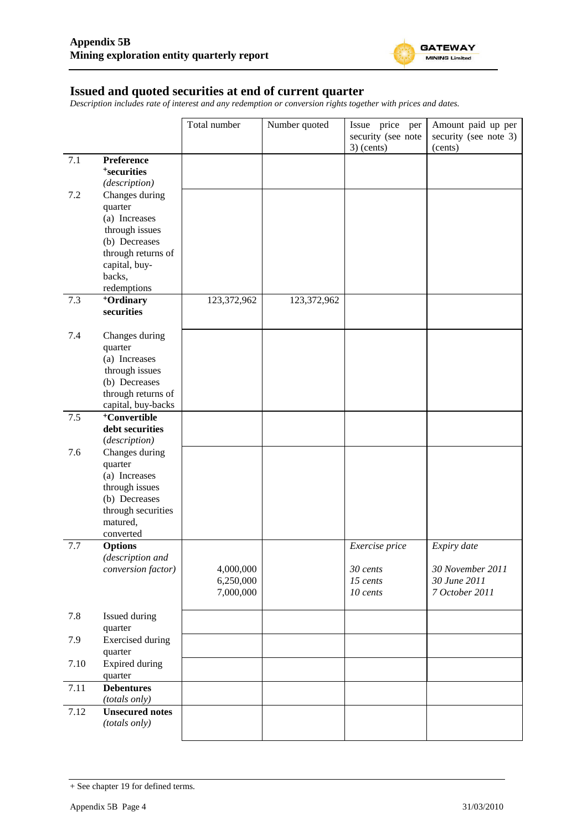

#### **Issued and quoted securities at end of current quarter**

*Description includes rate of interest and any redemption or conversion rights together with prices and dates.*

|      |                                                | Total number           | Number quoted | Issue price per      | Amount paid up per             |
|------|------------------------------------------------|------------------------|---------------|----------------------|--------------------------------|
|      |                                                |                        |               | security (see note   | security (see note 3)          |
| 7.1  | Preference                                     |                        |               | $3)$ (cents)         | (cents)                        |
|      | <sup>+</sup> securities                        |                        |               |                      |                                |
|      | (description)                                  |                        |               |                      |                                |
| 7.2  | Changes during                                 |                        |               |                      |                                |
|      | quarter                                        |                        |               |                      |                                |
|      | (a) Increases                                  |                        |               |                      |                                |
|      | through issues                                 |                        |               |                      |                                |
|      | (b) Decreases<br>through returns of            |                        |               |                      |                                |
|      | capital, buy-                                  |                        |               |                      |                                |
|      | backs,                                         |                        |               |                      |                                |
|      | redemptions                                    |                        |               |                      |                                |
| 7.3  | <sup>+</sup> Ordinary                          | 123,372,962            | 123,372,962   |                      |                                |
|      | securities                                     |                        |               |                      |                                |
|      |                                                |                        |               |                      |                                |
| 7.4  | Changes during<br>quarter                      |                        |               |                      |                                |
|      | (a) Increases                                  |                        |               |                      |                                |
|      | through issues                                 |                        |               |                      |                                |
|      | (b) Decreases                                  |                        |               |                      |                                |
|      | through returns of                             |                        |               |                      |                                |
|      | capital, buy-backs<br><sup>+</sup> Convertible |                        |               |                      |                                |
| 7.5  | debt securities                                |                        |               |                      |                                |
|      | (description)                                  |                        |               |                      |                                |
| 7.6  | Changes during                                 |                        |               |                      |                                |
|      | quarter                                        |                        |               |                      |                                |
|      | (a) Increases                                  |                        |               |                      |                                |
|      | through issues                                 |                        |               |                      |                                |
|      | (b) Decreases<br>through securities            |                        |               |                      |                                |
|      | matured,                                       |                        |               |                      |                                |
|      | converted                                      |                        |               |                      |                                |
| 7.7  | <b>Options</b>                                 |                        |               | Exercise price       | Expiry date                    |
|      | (description and                               |                        |               |                      |                                |
|      | conversion factor)                             | 4,000,000              |               | 30 cents             | 30 November 2011               |
|      |                                                | 6,250,000<br>7,000,000 |               | 15 cents<br>10 cents | 30 June 2011<br>7 October 2011 |
|      |                                                |                        |               |                      |                                |
| 7.8  | Issued during                                  |                        |               |                      |                                |
|      | quarter                                        |                        |               |                      |                                |
| 7.9  | <b>Exercised</b> during                        |                        |               |                      |                                |
|      | quarter                                        |                        |               |                      |                                |
| 7.10 | <b>Expired during</b>                          |                        |               |                      |                                |
| 7.11 | quarter<br><b>Debentures</b>                   |                        |               |                      |                                |
|      | (totals only)                                  |                        |               |                      |                                |
| 7.12 | <b>Unsecured notes</b>                         |                        |               |                      |                                |
|      | (totals only)                                  |                        |               |                      |                                |
|      |                                                |                        |               |                      |                                |

<sup>+</sup> See chapter 19 for defined terms.